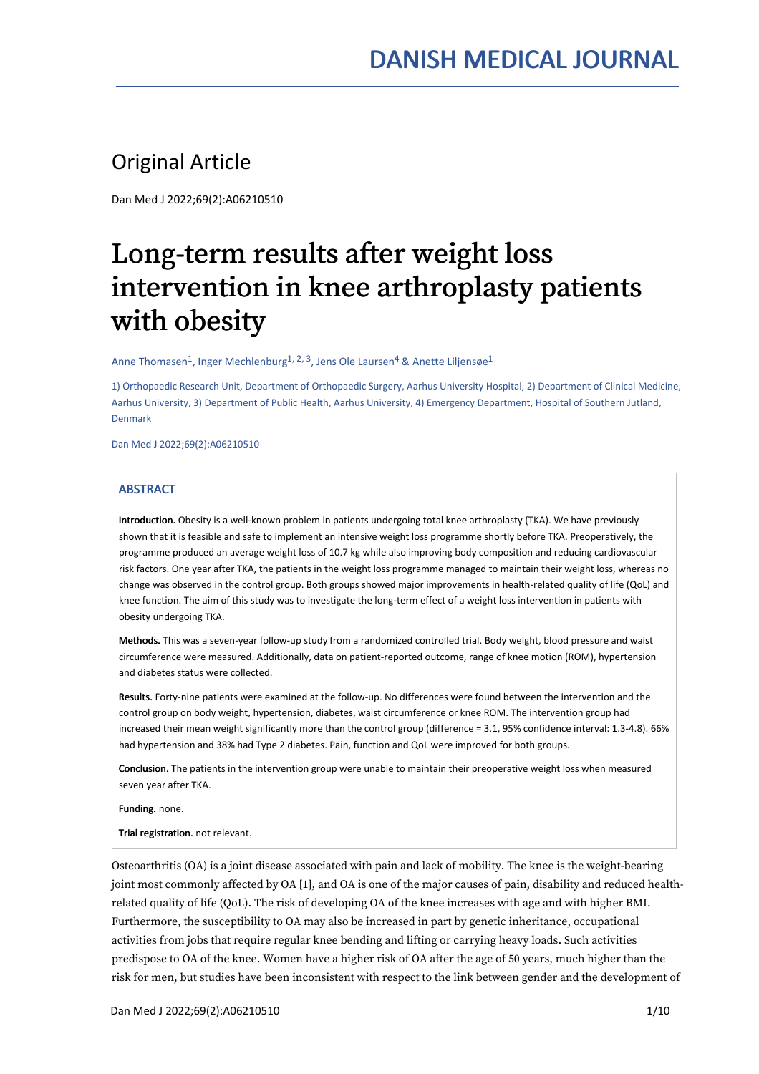# Original Article

Dan Med J 2022;69(2):A06210510

# Long-term results after weight loss intervention in knee arthroplasty patients with obesity

Anne Thomasen $^1$ , Inger Mechlenburg $^{\rm 1,\, 2,\, 3}$ , Jens Ole Laursen $^4$  & Anette Liljensøe $^1$ 

1) Orthopaedic Research Unit, Department of Orthopaedic Surgery, Aarhus University Hospital, 2) Department of Clinical Medicine, Aarhus University, 3) Department of Public Health, Aarhus University, 4) Emergency Department, Hospital of Southern Jutland, Denmark

Dan Med J 2022;69(2):A06210510

# **ABSTRACT**

Introduction. Obesity is a well-known problem in patients undergoing total knee arthroplasty (TKA). We have previously shown that it is feasible and safe to implement an intensive weight loss programme shortly before TKA. Preoperatively, the programme produced an average weight loss of 10.7 kg while also improving body composition and reducing cardiovascular risk factors. One year after TKA, the patients in the weight loss programme managed to maintain their weight loss, whereas no change was observed in the control group. Both groups showed major improvements in health-related quality of life (QoL) and knee function. The aim of this study was to investigate the long-term effect of a weight loss intervention in patients with obesity undergoing TKA.

Methods. This was a seven-year follow-up study from a randomized controlled trial. Body weight, blood pressure and waist circumference were measured. Additionally, data on patient-reported outcome, range of knee motion (ROM), hypertension and diabetes status were collected.

Results. Forty-nine patients were examined at the follow-up. No differences were found between the intervention and the control group on body weight, hypertension, diabetes, waist circumference or knee ROM. The intervention group had increased their mean weight significantly more than the control group (difference = 3.1, 95% confidence interval: 1.3-4.8). 66% had hypertension and 38% had Type 2 diabetes. Pain, function and QoL were improved for both groups.

Conclusion. The patients in the intervention group were unable to maintain their preoperative weight loss when measured seven year after TKA.

Funding. none.

Trial registration. not relevant.

Osteoarthritis (OA) is a joint disease associated with pain and lack of mobility. The knee is the weight-bearing joint most commonly affected by OA [1], and OA is one of the major causes of pain, disability and reduced health related quality of life (QoL). The risk of developing OA of the knee increases with age and with higher BMI. Furthermore, the susceptibility to OA may also be increased in part by genetic inheritance, occupational activities from jobs that require regular knee bending and lifting or carrying heavy loads. Such activities predispose to OA of the knee. Women have a higher risk of OA after the age of 50 years, much higher than the risk for men, but studies have been inconsistent with respect to the link between gender and the development of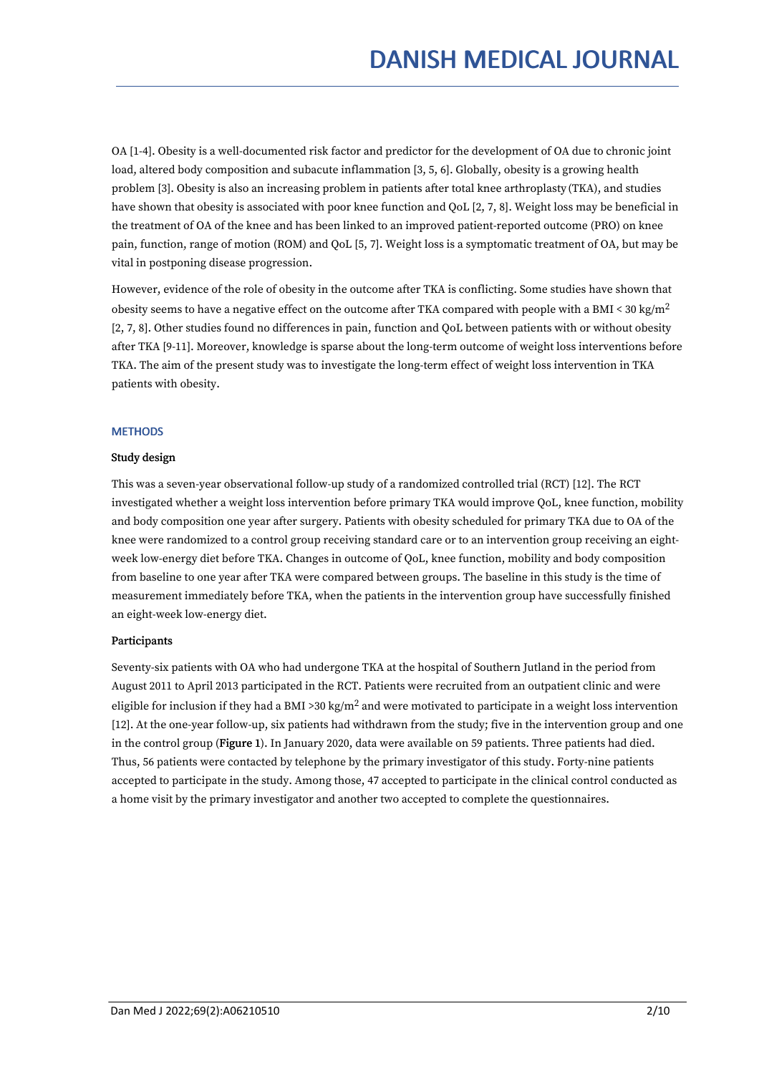OA [1-4]. Obesity is a well-documented risk factor and predictor for the development of OA due to chronic joint load, altered body composition and subacute inflammation [3, 5, 6]. Globally, obesity is a growing health problem [3]. Obesity is also an increasing problem in patients after total knee arthroplasty (TKA), and studies have shown that obesity is associated with poor knee function and QoL [2, 7, 8]. Weight loss may be beneficial in the treatment of OA of the knee and has been linked to an improved patient-reported outcome (PRO) on knee pain, function, range of motion (ROM) and QoL [5, 7]. Weight loss is a symptomatic treatment of OA, but may be vital in postponing disease progression.

However, evidence of the role of obesity in the outcome after TKA is conflicting. Some studies have shown that obesity seems to have a negative effect on the outcome after TKA compared with people with a BMI < 30 kg/m<sup>2</sup> [2, 7, 8]. Other studies found no differences in pain, function and QoL between patients with or without obesity after TKA [9-11]. Moreover, knowledge is sparse about the long-term outcome of weight loss interventions before TKA. The aim of the present study was to investigate the long-term effect of weight loss intervention in TKA patients with obesity.

#### **METHODS**

#### Study design

This was a seven-year observational follow-up study of a randomized controlled trial (RCT) [12]. The RCT investigated whether a weight loss intervention before primary TKA would improve QoL, knee function, mobility and body composition one year after surgery. Patients with obesity scheduled for primary TKA due to OA of the knee were randomized to a control group receiving standard care or to an intervention group receiving an eight week low-energy diet before TKA. Changes in outcome of QoL, knee function, mobility and body composition from baseline to one year after TKA were compared between groups. The baseline in this study is the time of measurement immediately before TKA, when the patients in the intervention group have successfully finished an eight-week low-energy diet.

# Participants

Seventy-six patients with OA who had undergone TKA at the hospital of Southern Jutland in the period from August 2011 to April 2013 participated in the RCT. Patients were recruited from an outpatient clinic and were eligible for inclusion if they had a BMI >30 kg/m<sup>2</sup> and were motivated to participate in a weight loss intervention [12]. At the one-year follow-up, six patients had withdrawn from the study; five in the intervention group and one in the control group (Figure 1). In January 2020, data were available on 59 patients. Three patients had died. Thus, 56 patients were contacted by telephone by the primary investigator of this study. Forty-nine patients accepted to participate in the study. Among those, 47 accepted to participate in the clinical control conducted as a home visit by the primary investigator and another two accepted to complete the questionnaires.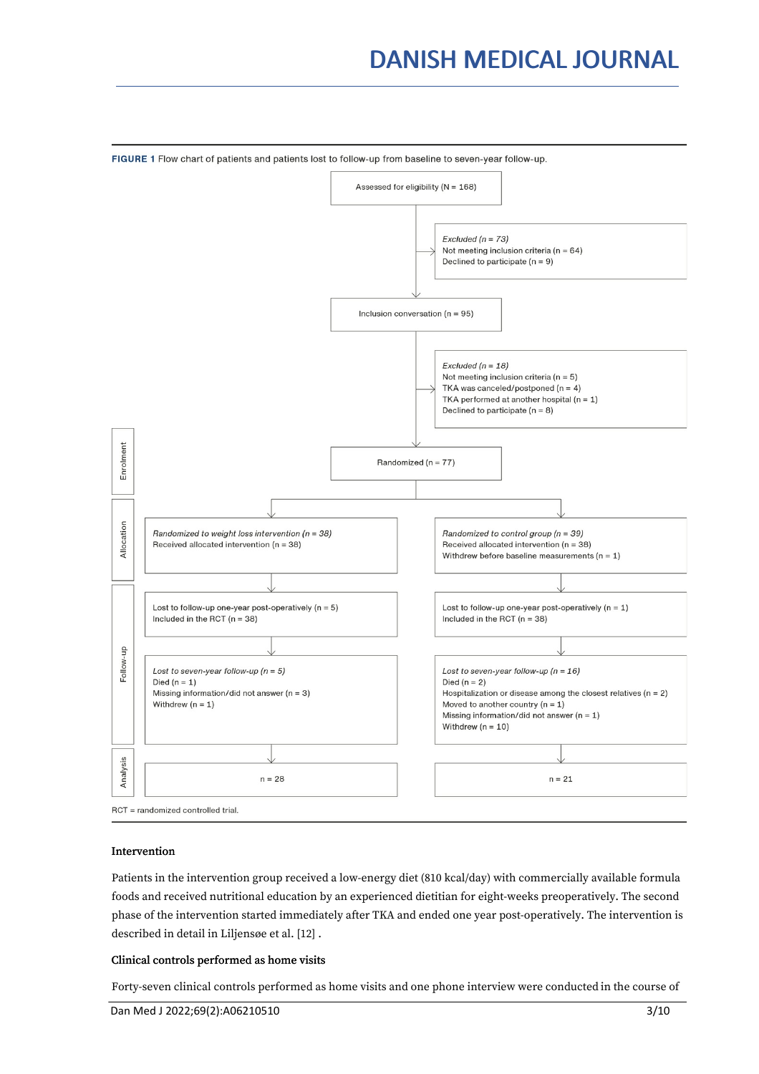# DANISH MEDICAL JOURNAL



# Intervention

Patients in the intervention group received a low-energy diet (810 kcal/day) with commercially available formula foods and received nutritional education by an experienced dietitian for eight-weeks preoperatively. The second phase of the intervention started immediately after TKA and ended one year post-operatively. The intervention is described in detail in Liljensøe et al. [12] .

### Clinical controls performed as home visits

Forty-seven clinical controls performed as home visits and one phone interview were conducted in the course of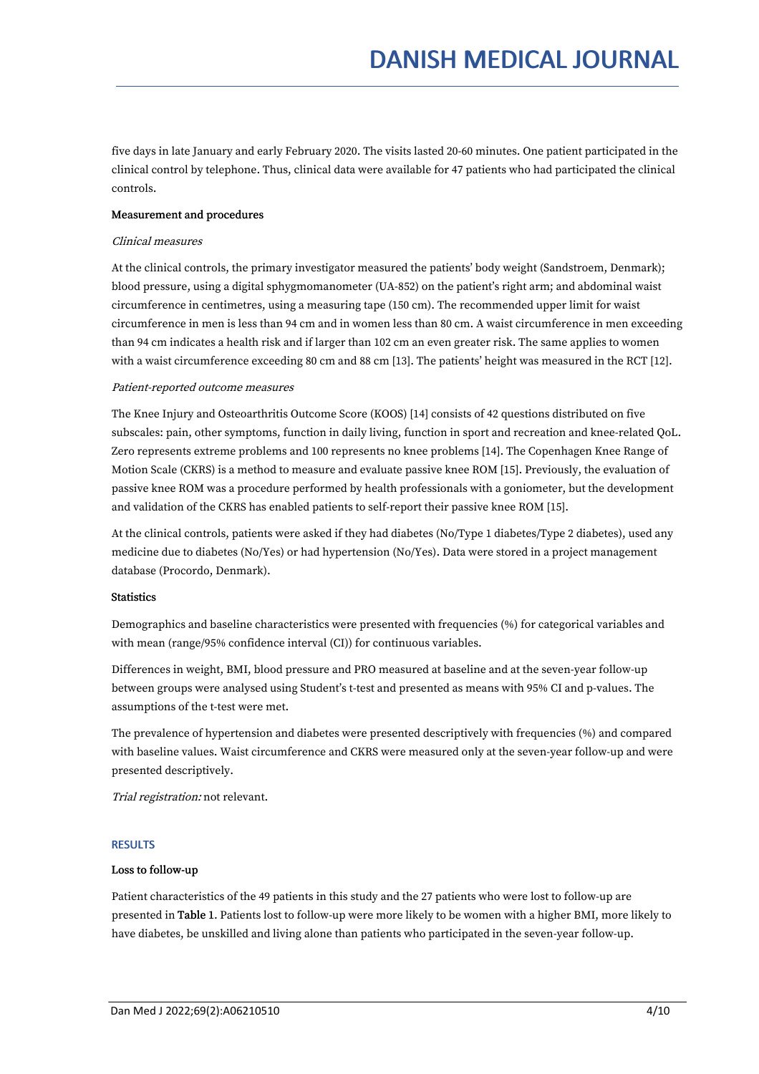five days in late January and early February 2020. The visits lasted 20-60 minutes. One patient participated in the clinical control by telephone. Thus, clinical data were available for 47 patients who had participated the clinical controls.

# Measurement and procedures

#### Clinical measures

At the clinical controls, the primary investigator measured the patients' body weight (Sandstroem, Denmark); blood pressure, using a digital sphygmomanometer (UA-852) on the patient's right arm; and abdominal waist circumference in centimetres, using a measuring tape (150 cm). The recommended upper limit for waist circumference in men is less than 94 cm and in women less than 80 cm. A waist circumference in men exceeding than 94 cm indicates a health risk and if larger than 102 cm an even greater risk. The same applies to women with a waist circumference exceeding 80 cm and 88 cm [13]. The patients' height was measured in the RCT [12].

#### Patient-reported outcome measures

The Knee Injury and Osteoarthritis Outcome Score (KOOS) [14] consists of 42 questions distributed on five subscales: pain, other symptoms, function in daily living, function in sport and recreation and knee-related QoL. Zero represents extreme problems and 100 represents no knee problems [14]. The Copenhagen Knee Range of Motion Scale (CKRS) is a method to measure and evaluate passive knee ROM [15]. Previously, the evaluation of passive knee ROM was a procedure performed by health professionals with a goniometer, but the development and validation of the CKRS has enabled patients to self-report their passive knee ROM [15].

At the clinical controls, patients were asked if they had diabetes (No/Type 1 diabetes/Type 2 diabetes), used any medicine due to diabetes (No/Yes) or had hypertension (No/Yes). Data were stored in a project management database (Procordo, Denmark).

#### **Statistics**

Demographics and baseline characteristics were presented with frequencies (%) for categorical variables and with mean (range/95% confidence interval (CI)) for continuous variables.

Differences in weight, BMI, blood pressure and PRO measured at baseline and at the seven-year follow-up between groups were analysed using Student's t-test and presented as means with 95% CI and p-values. The assumptions of the t-test were met.

The prevalence of hypertension and diabetes were presented descriptively with frequencies (%) and compared with baseline values. Waist circumference and CKRS were measured only at the seven-year follow-up and were presented descriptively.

Trial registration: not relevant.

# **RESULTS**

# Loss to follow-up

Patient characteristics of the 49 patients in this study and the 27 patients who were lost to follow-up are presented in Table 1.Patients lost to follow-up were more likely to be women with a higher BMI, more likely to have diabetes, be unskilled and living alone than patients who participated in the seven-year follow-up.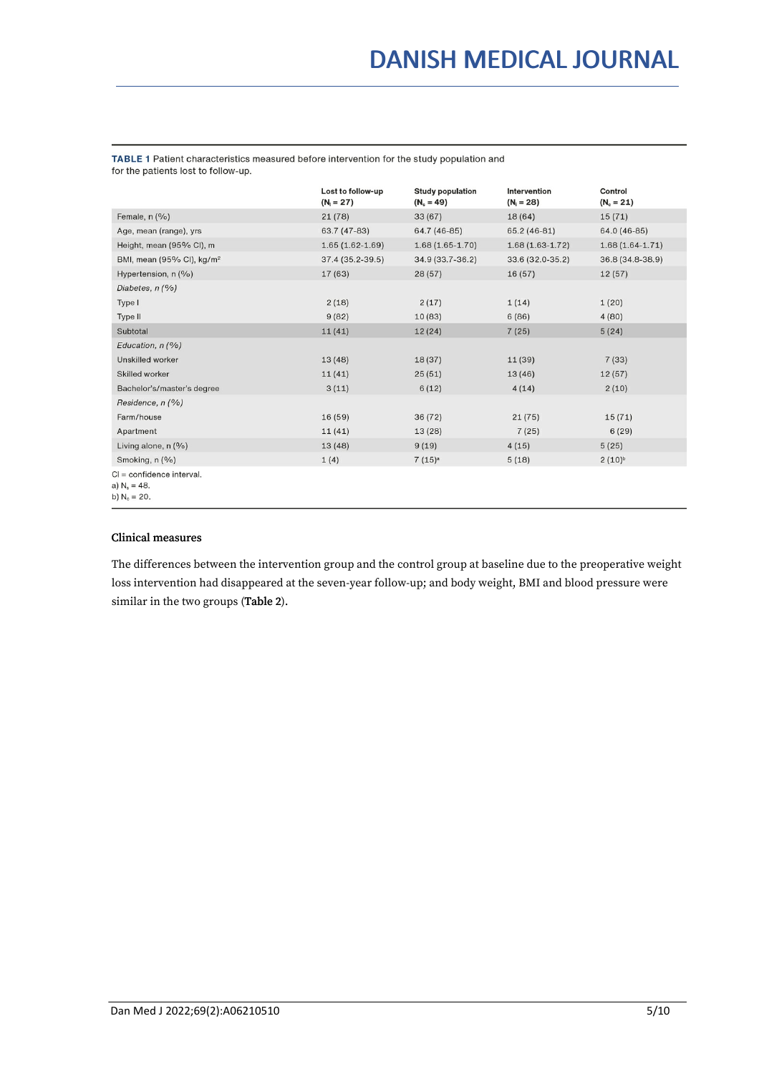TABLE 1 Patient characteristics measured before intervention for the study population and for the patients lost to follow-up.

|                                                                   | Lost to follow-up<br>$(N_1 = 27)$ | <b>Study population</b><br>$(N_s = 49)$ | Intervention<br>$(N_i = 28)$ | Control<br>$(N_c = 21)$ |  |
|-------------------------------------------------------------------|-----------------------------------|-----------------------------------------|------------------------------|-------------------------|--|
| Female, n (%)                                                     | 21(78)                            | 33(67)                                  | 18 (64)                      | 15(71)                  |  |
| Age, mean (range), yrs                                            | 63.7 (47-83)                      | 64.7 (46-85)                            | 65.2 (46-81)                 | 64.0 (46-85)            |  |
| Height, mean (95% CI), m                                          | $1.65(1.62-1.69)$                 | $1.68(1.65 - 1.70)$                     | $1.68(1.63-1.72)$            | $1.68(1.64-1.71)$       |  |
| BMI, mean (95% CI), kg/m <sup>2</sup>                             | 37.4 (35.2-39.5)                  | 34.9 (33.7-36.2)                        | 33.6 (32.0-35.2)             | 36.8 (34.8-38.9)        |  |
| Hypertension, n (%)                                               | 17 (63)                           | 28(57)                                  | 16(57)                       | 12(57)                  |  |
| Diabetes, $n$ (%)                                                 |                                   |                                         |                              |                         |  |
| Type I                                                            | 2(18)                             | 2(17)                                   | 1(14)                        | 1(20)                   |  |
| Type II                                                           | 9(82)                             | 10(83)                                  | 6(86)                        | 4(80)                   |  |
| Subtotal                                                          | 11(41)                            | 12(24)                                  | 7(25)                        | 5(24)                   |  |
| Education, n (%)                                                  |                                   |                                         |                              |                         |  |
| Unskilled worker                                                  | 13(48)                            | 18(37)                                  | 11(39)                       | 7(33)                   |  |
| Skilled worker                                                    | 11(41)                            | 25(51)                                  | 13(46)                       | 12(57)                  |  |
| Bachelor's/master's degree                                        | 3(11)                             | 6(12)                                   | 4(14)                        | 2(10)                   |  |
| Residence, $n$ (%)                                                |                                   |                                         |                              |                         |  |
| Farm/house                                                        | 16(59)                            | 36(72)                                  | 21(75)                       | 15(71)                  |  |
| Apartment                                                         | 11(41)                            | 13 (28)                                 | 7(25)                        | 6(29)                   |  |
| Living alone, $n$ (%)                                             | 13(48)                            | 9(19)                                   | 4(15)                        | 5(25)                   |  |
| Smoking, n (%)                                                    | 1(4)                              | 7(15) <sup>a</sup>                      | 5(18)                        | $2(10)^{b}$             |  |
| $Cl =$ confidence interval.<br>a) $N_e = 48$ .<br>b) $N_c = 20$ . |                                   |                                         |                              |                         |  |

### Clinical measures

The differences between the intervention group and the control group at baseline due to the preoperative weight loss intervention had disappeared at the seven-year follow-up; and body weight, BMI and blood pressure were similar in the two groups (Table 2).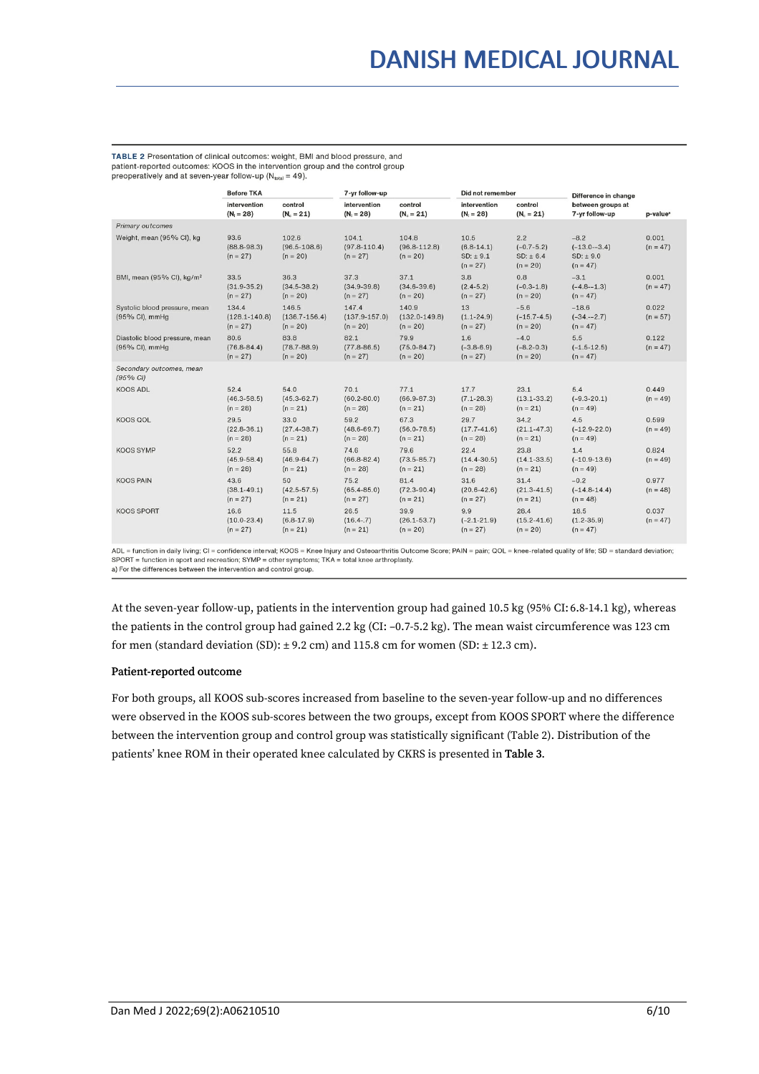TABLE 2 Presentation of clinical outcomes: weight, BMI and blood pressure, and patient-reported outcomes: KOOS in the intervention group and the control group preoperatively and at seven-year follow-up (N<sub>total</sub> = 49).

|                                                  | <b>Before TKA</b>                        |                                          | 7-yr follow-up                           |                                          | Did not remember                                 |                                                  | Difference in change                                 |                      |
|--------------------------------------------------|------------------------------------------|------------------------------------------|------------------------------------------|------------------------------------------|--------------------------------------------------|--------------------------------------------------|------------------------------------------------------|----------------------|
|                                                  | intervention<br>$(N_i = 28)$             | control<br>$(N_c = 21)$                  | intervention<br>$(N_i = 28)$             | control<br>$(N_c = 21)$                  | intervention<br>$(N_i = 28)$                     | control<br>$(N_c = 21)$                          | between groups at<br>7-yr follow-up                  | p-value <sup>a</sup> |
| <b>Primary outcomes</b>                          |                                          |                                          |                                          |                                          |                                                  |                                                  |                                                      |                      |
| Weight, mean (95% CI), kg                        | 93.6<br>$(88.8 - 98.3)$<br>$(n = 27)$    | 102.6<br>$(96.5 - 108.6)$<br>$(n = 20)$  | 104.1<br>$(97.8 - 110.4)$<br>$(n = 27)$  | 104.8<br>$(96.8 - 112.8)$<br>$(n = 20)$  | 10.5<br>$(6.8 - 14.1)$<br>SD: ±9.1<br>$(n = 27)$ | 2.2<br>$(-0.7 - 5.2)$<br>SD: ± 6.4<br>$(n = 20)$ | $-8.2$<br>$(-13.0 - 3.4)$<br>SD: ± 9.0<br>$(n = 47)$ | 0.001<br>$(n = 47)$  |
| BMI, mean (95% CI), kg/m <sup>2</sup>            | 33.5<br>$(31.9 - 35.2)$<br>$(n = 27)$    | 36.3<br>$(34.5 - 38.2)$<br>$(n = 20)$    | 37.3<br>$(34.9 - 39.8)$<br>$(n = 27)$    | 37.1<br>$(34.6 - 39.6)$<br>$(n = 20)$    | 3.8<br>$(2.4-5.2)$<br>$(n = 27)$                 | 0.8<br>$(-0.3 - 1.8)$<br>$(n = 20)$              | $-3.1$<br>$(-4.8 - 1.3)$<br>$(n = 47)$               | 0.001<br>$(n = 47)$  |
| Systolic blood pressure, mean<br>(95% CI), mmHg  | 134.4<br>$(128.1 - 140.8)$<br>$(n = 27)$ | 146.5<br>$(136.7 - 156.4)$<br>$(n = 20)$ | 147.4<br>$(137.9 - 157.0)$<br>$(n = 20)$ | 140.9<br>$(132.0 - 149.8)$<br>$(n = 20)$ | 13<br>$(1.1 - 24.9)$<br>$(n = 27)$               | $-5.6$<br>$(-15.7 - 4.5)$<br>$(n = 20)$          | $-18.6$<br>$(-34,-2.7)$<br>$(n = 47)$                | 0.022<br>$(n = 57)$  |
| Diastolic blood pressure, mean<br>(95% CI), mmHg | 80.6<br>$(76.8 - 84.4)$<br>$(n = 27)$    | 83.8<br>$(78.7 - 88.9)$<br>$(n = 20)$    | 82.1<br>$(77.8 - 86.5)$<br>$(n = 27)$    | 79.9<br>$(75.0 - 84.7)$<br>$(n = 20)$    | 1.6<br>$(-3.8-6.9)$<br>$(n = 27)$                | $-4.0$<br>$(-8.2 - 0.3)$<br>$(n = 20)$           | 5.5<br>$(-1.5 - 12.5)$<br>$(n = 47)$                 | 0.122<br>$(n = 47)$  |
| Secondary outcomes, mean<br>(95% CI)             |                                          |                                          |                                          |                                          |                                                  |                                                  |                                                      |                      |
| <b>KOOS ADL</b>                                  | 52.4<br>$(46.3 - 58.5)$<br>$(n = 28)$    | 54.0<br>$(45.3 - 62.7)$<br>$(n = 21)$    | 70.1<br>$(60.2 - 80.0)$<br>$(n = 28)$    | 77.1<br>$(66.9 - 87.3)$<br>$(n = 21)$    | 17.7<br>$(7.1 - 28.3)$<br>$(n = 28)$             | 23.1<br>$(13.1 - 33.2)$<br>$(n = 21)$            | 5.4<br>$(-9.3 - 20.1)$<br>$(n = 49)$                 | 0.449<br>$(n = 49)$  |
| <b>KOOS QOL</b>                                  | 29.5<br>$(22.8 - 36.1)$<br>$(n = 28)$    | 33.0<br>$(27.4 - 38.7)$<br>$(n = 21)$    | 59.2<br>$(48.6 - 69.7)$<br>$(n = 28)$    | 67.3<br>$(56.0 - 78.5)$<br>$(n = 21)$    | 29.7<br>$(17.7 - 41.6)$<br>$(n = 28)$            | 34.2<br>$(21.1 - 47.3)$<br>$(n = 21)$            | 4.5<br>$(-12.9 - 22.0)$<br>$(n = 49)$                | 0.599<br>$(n = 49)$  |
| <b>KOOS SYMP</b>                                 | 52.2<br>$(45.9 - 58.4)$<br>$(n = 28)$    | 55.8<br>$(46.9 - 64.7)$<br>$(n = 21)$    | 74.6<br>$(66.8 - 82.4)$<br>$(n = 28)$    | 79.6<br>$(73.5 - 85.7)$<br>$(n = 21)$    | 22.4<br>$(14.4 - 30.5)$<br>$(n = 28)$            | 23.8<br>$(14.1 - 33.5)$<br>$(n = 21)$            | 1.4<br>$(-10.9-13.6)$<br>$(n = 49)$                  | 0.824<br>$(n = 49)$  |
| <b>KOOS PAIN</b>                                 | 43.6<br>$(38.1 - 49.1)$<br>$(n = 27)$    | 50<br>$(42.5 - 57.5)$<br>$(n = 21)$      | 75.2<br>$(65.4 - 85.0)$<br>$(n = 27)$    | 81.4<br>$(72.3 - 90.4)$<br>$(n = 21)$    | 31.6<br>$(20.6 - 42.6)$<br>$(n = 27)$            | 31.4<br>$(21.3 - 41.5)$<br>$(n = 21)$            | $-0.2$<br>$(-14.8 - 14.4)$<br>$(n = 48)$             | 0.977<br>$(n = 48)$  |
| <b>KOOS SPORT</b>                                | 16.6<br>$(10.0 - 23.4)$<br>$(n = 27)$    | 11.5<br>$(6.8-17.9)$<br>$(n = 21)$       | 26.5<br>$(16.4 - .7)$<br>$(n = 21)$      | 39.9<br>$(26.1 - 53.7)$<br>$(n = 20)$    | 9.9<br>$(-2.1 - 21.9)$<br>$(n = 27)$             | 28.4<br>$(15.2 - 41.6)$<br>$(n = 20)$            | 18.5<br>$(1.2 - 35.9)$<br>$(n = 47)$                 | 0.037<br>$(n = 47)$  |

ADL = function in daily living; Cl = confidence interval; KOOS = Knee Injury and Osteoarthritis Outcome Score; PAIN = pain; QOL = knee-related quality of life; SD = standard deviation;<br>SPORT = function in sport and recreat

a) For the differences between the intervention and control group.

At the seven-year follow-up, patients in the intervention group had gained 10.5 kg (95% CI: 6.8-14.1 kg), whereas the patients in the control group had gained 2.2 kg (CI: –0.7-5.2 kg). The mean waist circumference was 123 cm for men (standard deviation (SD):  $\pm$  9.2 cm) and 115.8 cm for women (SD:  $\pm$  12.3 cm).

#### Patient-reported outcome

For both groups, all KOOS sub-scores increased from baseline to the seven-year follow-up and no differences were observed in the KOOS sub-scores between the two groups, except from KOOS SPORT where the difference between the intervention group and control group was statistically significant (Table 2). Distribution of the patients' knee ROM in their operated knee calculated by CKRS is presented in Table 3.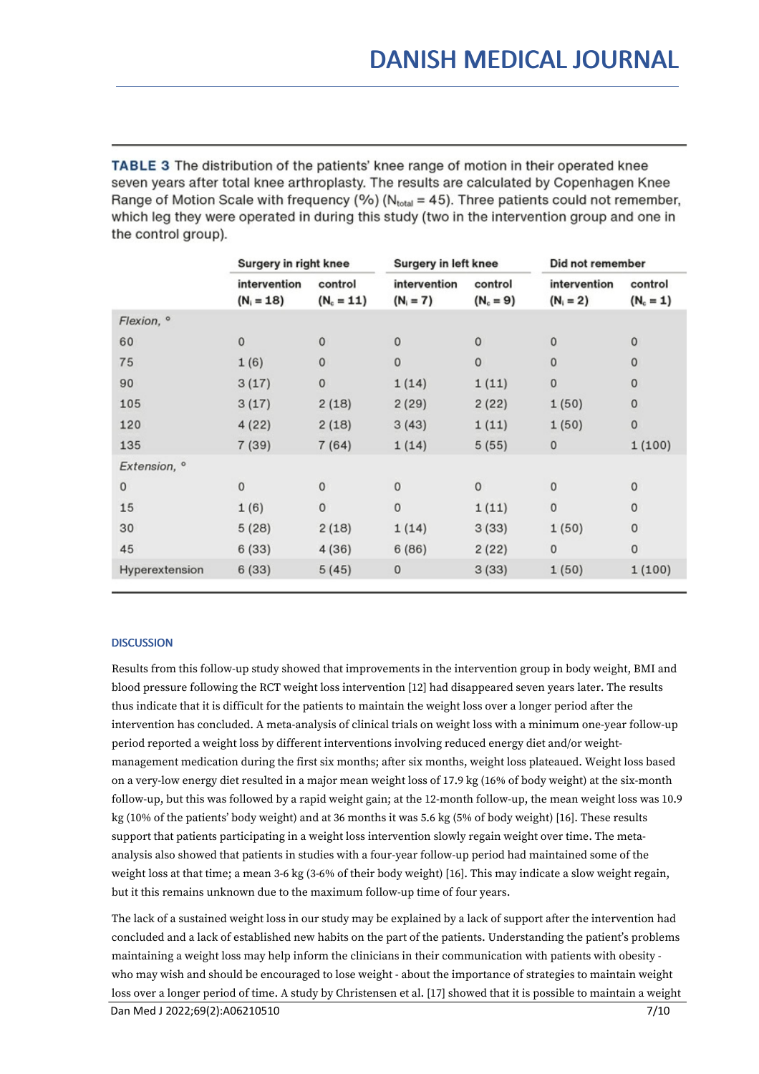TABLE 3 The distribution of the patients' knee range of motion in their operated knee seven years after total knee arthroplasty. The results are calculated by Copenhagen Knee Range of Motion Scale with frequency (%) ( $N_{total}$  = 45). Three patients could not remember, which leg they were operated in during this study (two in the intervention group and one in the control group).

|                | Surgery in right knee        |                         | <b>Surgery in left knee</b> |                        | Did not remember            |                        |
|----------------|------------------------------|-------------------------|-----------------------------|------------------------|-----------------------------|------------------------|
|                | intervention<br>$(N_i = 18)$ | control<br>$(N_c = 11)$ | intervention<br>$(N_i = 7)$ | control<br>$(N_c = 9)$ | intervention<br>$(N_i = 2)$ | control<br>$(N_c = 1)$ |
| Flexion, °     |                              |                         |                             |                        |                             |                        |
| 60             | 0                            | $\mathbf 0$             | $\mathbf{0}$                | $\mathbf{0}$           | $\mathbf{0}$                | $\pmb{0}$              |
| 75             | 1(6)                         | $\mathbf{0}$            | 0                           | $\mathbf 0$            | $\circ$                     | $\mathbf 0$            |
| 90             | 3(17)                        | 0                       | 1(14)                       | 1(11)                  | $\bf{0}$                    | 0                      |
| 105            | 3(17)                        | 2(18)                   | 2(29)                       | 2(22)                  | 1(50)                       | $\mathbf 0$            |
| 120            | 4(22)                        | 2(18)                   | 3(43)                       | 1(11)                  | 1(50)                       | 0                      |
| 135            | 7(39)                        | 7(64)                   | 1(14)                       | 5(55)                  | $\pmb{0}$                   | 1(100)                 |
| Extension, °   |                              |                         |                             |                        |                             |                        |
| $\circ$        | 0                            | $\mathbf{0}$            | $\mathbf{0}$                | $\mathbf{0}$           | $\mathbf{0}$                | $\bf{0}$               |
| 15             | 1(6)                         | $\mathbf 0$             | $\mathbf{0}$                | 1(11)                  | $\mathbf 0$                 | $\pmb{0}$              |
| 30             | 5(28)                        | 2(18)                   | 1(14)                       | 3(33)                  | 1(50)                       | $\mathbf 0$            |
| 45             | 6(33)                        | 4(36)                   | 6(86)                       | 2(22)                  | $\mathbf 0$                 | 0                      |
| Hyperextension | 6(33)                        | 5(45)                   | 0                           | 3(33)                  | 1(50)                       | 1(100)                 |
|                |                              |                         |                             |                        |                             |                        |

# **DISCUSSION**

Results from this follow-up study showed that improvements in the intervention group in body weight, BMI and blood pressure following the RCT weight loss intervention [12] had disappeared seven years later. The results thus indicate that it is difficult for the patients to maintain the weight loss over a longer period after the intervention has concluded. A meta-analysis of clinical trials on weight loss with a minimum one-year follow-up period reported a weight loss by different interventions involving reduced energy diet and/or weight management medication during the first six months; after six months, weight loss plateaued. Weight loss based on a very-low energy diet resulted in a major mean weight loss of 17.9 kg (16% of body weight) at the six-month follow-up, but this was followed by a rapid weight gain; at the 12-month follow-up, the mean weight loss was 10.9 kg (10% of the patients' body weight) and at 36 months it was 5.6 kg (5% of body weight) [16]. These results support that patients participating in a weight loss intervention slowly regain weight over time. The meta analysis also showed that patients in studies with a four-year follow-up period had maintained some of the weight loss at that time; a mean 3-6 kg (3-6% of their body weight) [16]. This may indicate a slow weight regain, but it this remains unknown due to the maximum follow-up time of four years.

The lack of a sustained weight loss in our study may be explained by a lack of support after the intervention had concluded and a lack of established new habits on the part of the patients. Understanding the patient's problems maintaining a weight loss may help inform the clinicians in their communication with patients with obesity who may wish and should be encouraged to lose weight - about the importance of strategies to maintain weight loss over a longer period of time. A study by Christensen et al. [17] showed that it is possible to maintain a weight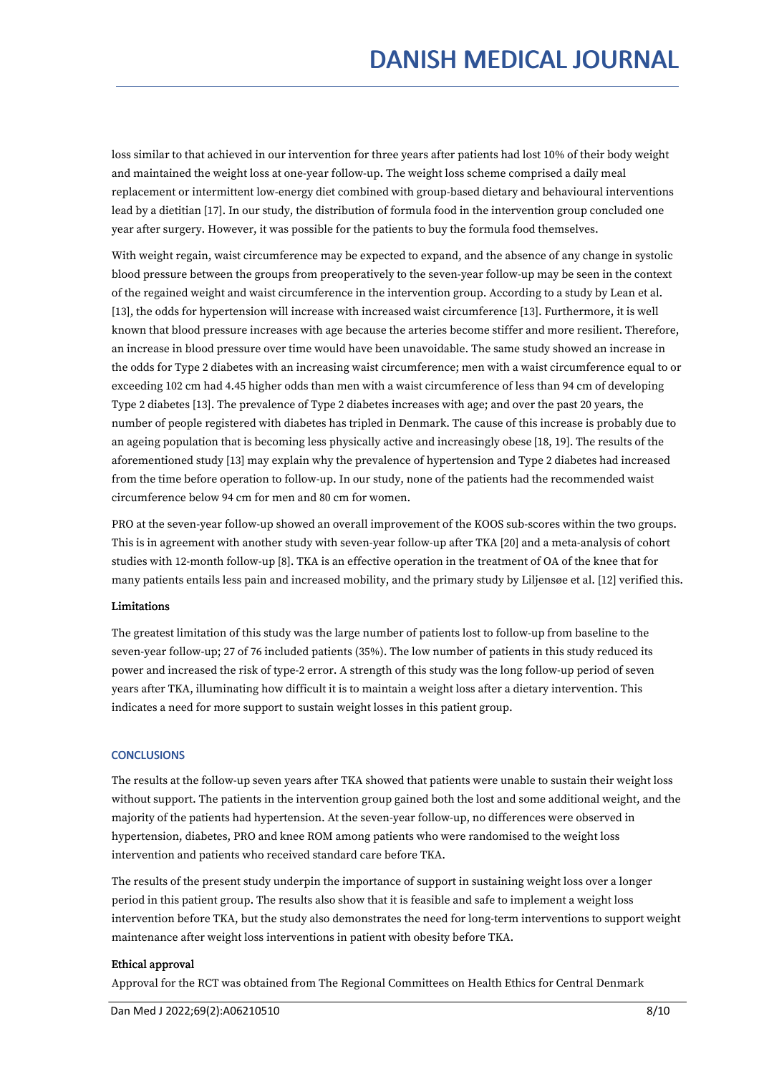loss similar to that achieved in our intervention for three years after patients had lost 10% of their body weight and maintained the weight loss at one-year follow-up. The weight loss scheme comprised a daily meal replacement or intermittent low-energy diet combined with group-based dietary and behavioural interventions lead by a dietitian [17]. In our study, the distribution of formula food in the intervention group concluded one year after surgery. However, it was possible for the patients to buy the formula food themselves.

With weight regain, waist circumference may be expected to expand, and the absence of any change in systolic blood pressure between the groups from preoperatively to the seven-year follow-up may be seen in the context of the regained weight and waist circumference in the intervention group. According to a study by Lean et al. [13], the odds for hypertension will increase with increased waist circumference [13]. Furthermore, it is well known that blood pressure increases with age because the arteries become stiffer and more resilient. Therefore, an increase in blood pressure over time would have been unavoidable. The same study showed an increase in the odds for Type 2 diabetes with an increasing waist circumference; men with a waist circumference equal to or exceeding 102 cm had 4.45 higher odds than men with a waist circumference of less than 94 cm of developing Type 2 diabetes [13]. The prevalence of Type 2 diabetes increases with age; and over the past 20 years, the number of people registered with diabetes has tripled in Denmark. The cause of this increase is probably due to an ageing population that is becoming less physically active and increasingly obese [18, 19]. The results of the aforementioned study [13] may explain why the prevalence of hypertension and Type 2 diabetes had increased from the time before operation to follow-up. In our study, none of the patients had the recommended waist circumference below 94cm for men and 80 cm for women.

PRO at the seven-year follow-up showed an overall improvement of the KOOS sub-scores within the two groups. This is in agreement with another study with seven-year follow-up after TKA [20] and a meta-analysis of cohort studies with 12-month follow-up [8]. TKA is an effective operation in the treatment of OA of the knee that for many patients entails less pain and increased mobility, and the primary study by Liljensøe et al. [12] verified this.

# Limitations

The greatest limitation of this study was the large number of patients lost to follow-up from baseline to the seven-year follow-up; 27 of 76 included patients (35%). The low number of patients in this study reduced its power and increased the risk of type-2 error. A strength of this study was the long follow-up period of seven years after TKA, illuminating how difficult it is to maintain a weight loss after a dietary intervention. This indicates a need for more support to sustain weight losses in this patient group.

# **CONCLUSIONS**

The results at the follow-up seven years after TKA showed that patients were unable to sustain their weight loss without support. The patients in the intervention group gained both the lost and some additional weight, and the majority of the patients had hypertension. At the seven-year follow-up, no differences were observed in hypertension, diabetes, PRO and knee ROM among patients who were randomised to the weight loss intervention and patients who received standard care before TKA.

The results of the present study underpin the importance of support in sustaining weight loss over a longer period in this patient group. The results also show that it is feasible and safe to implement a weight loss intervention before TKA, but the study also demonstrates the need for long-term interventions to support weight maintenance after weight loss interventions in patient with obesity before TKA.

# Ethical approval

Approval for the RCT was obtained from The Regional Committees on Health Ethics for Central Denmark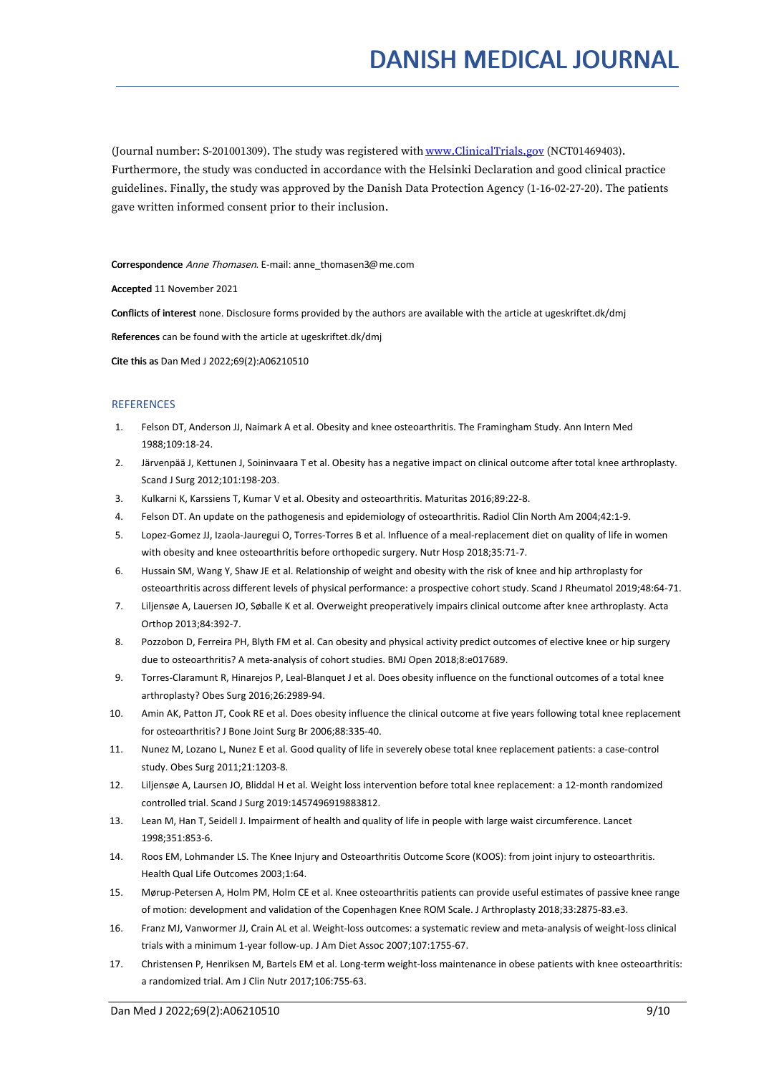(Journal number: S-201001309). The study was registered with [www.ClinicalTrials.gov](http://www.clinicaltrials.gov) (NCT01469403). Furthermore, the study was conducted in accordance with the Helsinki Declaration and good clinical practice guidelines. Finally, the study was approved by the Danish Data Protection Agency (1-16-02-27-20). The patients gave written informed consent prior to their inclusion.

Correspondence Anne Thomasen. E-mail: anne\_thomasen3@me.com

Accepted 11 November 2021

Conflicts of interest none. Disclosure forms provided by the authors are available with the article at ugeskriftet.dk/dmj

References can be found with the article at ugeskriftet.dk/dmj

Cite this as Dan Med J 2022;69(2):A06210510

#### REFERENCES

- 1. Felson DT, Anderson JJ, Naimark A et al. Obesity and knee osteoarthritis. The Framingham Study. Ann Intern Med 1988;109:18-24.
- 2. Järvenpää J, Kettunen J, Soininvaara T et al. Obesity has a negative impact on clinical outcome after total knee arthroplasty. Scand J Surg 2012;101:198-203.
- 3. Kulkarni K, Karssiens T, Kumar V et al. Obesity and osteoarthritis. Maturitas 2016;89:22-8.
- 4. Felson DT. An update on the pathogenesis and epidemiology of osteoarthritis. Radiol Clin North Am 2004;42:1-9.
- 5. Lopez-Gomez JJ, Izaola-Jauregui O, Torres-Torres B etal. Influence of a meal-replacement diet on quality of life in women with obesity and knee osteoarthritis before orthopedic surgery. Nutr Hosp 2018;35:71-7.
- 6. Hussain SM, Wang Y, Shaw JE et al. Relationship ofweight and obesity with the risk of knee and hip arthroplasty for osteoarthritis across different levels of physical performance: a prospective cohort study. Scand J Rheumatol 2019;48:64-71.
- 7. Liljensøe A, Lauersen JO, Søballe K et al. Overweight preoperatively impairs clinical outcome after knee arthroplasty. Acta Orthop 2013;84:392-7.
- 8. Pozzobon D, Ferreira PH, Blyth FM et al. Can obesity and physical activity predict outcomes of elective knee or hip surgery due to osteoarthritis? A meta-analysis of cohort studies. BMJ Open 2018;8:e017689.
- 9. Torres-Claramunt R, Hinarejos P, Leal-Blanquet J et al. Does obesity influence on the functional outcomes of a total knee arthroplasty? Obes Surg 2016;26:2989-94.
- 10. Amin AK, Patton JT,Cook RE et al. Does obesity influence the clinical outcome at five years following total knee replacement for osteoarthritis? J Bone Joint Surg Br 2006;88:335-40.
- 11. Nunez M, Lozano L, Nunez E et al. Good quality of life in severely obese total knee replacement patients: a case-control study. Obes Surg 2011;21:1203-8.
- 12. Liljensøe A, Laursen JO, Bliddal H et al. Weight loss intervention before total knee replacement: a 12-month randomized controlled trial. Scand J Surg 2019:1457496919883812.
- 13. Lean M,Han T, Seidell J. Impairment of health and quality of life in people with large waist circumference. Lancet 1998;351:853-6.
- 14. Roos EM, Lohmander LS. The Knee Injury and Osteoarthritis Outcome Score (KOOS): from joint injury to osteoarthritis. Health Qual Life Outcomes 2003;1:64.
- 15. Mørup-Petersen A, Holm PM, Holm CE etal. Knee osteoarthritis patients can provide useful estimates of passive knee range of motion: development and validation of the Copenhagen Knee ROM Scale. J Arthroplasty 2018;33:2875-83.e3.
- 16. Franz MJ, Vanwormer JJ, Crain AL et al. Weight-loss outcomes: a systematic review and meta-analysis of weight-loss clinical trials with a minimum 1-year follow-up. J Am Diet Assoc 2007;107:1755-67.
- 17. Christensen P, Henriksen M,Bartels EM et al. Long-term weight-loss maintenance in obese patients with knee osteoarthritis: a randomized trial. Am J Clin Nutr 2017;106:755-63.